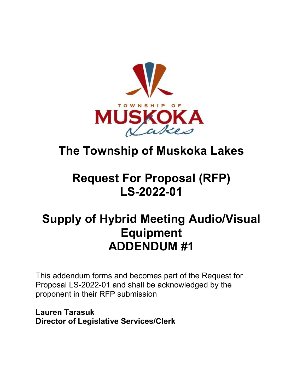

# **The Township of Muskoka Lakes**

## **Request For Proposal (RFP) LS-2022-01**

## **Supply of Hybrid Meeting Audio/Visual Equipment ADDENDUM #1**

This addendum forms and becomes part of the Request for Proposal LS-2022-01 and shall be acknowledged by the proponent in their RFP submission

**Lauren Tarasuk Director of Legislative Services/Clerk**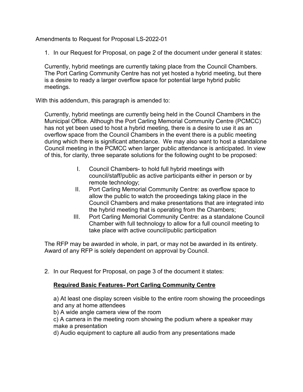Amendments to Request for Proposal LS-2022-01

1. In our Request for Proposal, on page 2 of the document under general it states:

Currently, hybrid meetings are currently taking place from the Council Chambers. The Port Carling Community Centre has not yet hosted a hybrid meeting, but there is a desire to ready a larger overflow space for potential large hybrid public meetings.

With this addendum, this paragraph is amended to:

Currently, hybrid meetings are currently being held in the Council Chambers in the Municipal Office. Although the Port Carling Memorial Community Centre (PCMCC) has not yet been used to host a hybrid meeting, there is a desire to use it as an overflow space from the Council Chambers in the event there is a public meeting during which there is significant attendance. We may also want to host a standalone Council meeting in the PCMCC when larger public attendance is anticipated. In view of this, for clarity, three separate solutions for the following ought to be proposed:

- I. Council Chambers- to hold full hybrid meetings with council/staff/public as active participants either in person or by remote technology;
- II. Port Carling Memorial Community Centre: as overflow space to allow the public to watch the proceedings taking place in the Council Chambers and make presentations that are integrated into the hybrid meeting that is operating from the Chambers;
- III. Port Carling Memorial Community Centre: as a standalone Council Chamber with full technology to allow for a full council meeting to take place with active council/public participation

The RFP may be awarded in whole, in part, or may not be awarded in its entirety. Award of any RFP is solely dependent on approval by Council.

2. In our Request for Proposal, on page 3 of the document it states:

### **Required Basic Features- Port Carling Community Centre**

a) At least one display screen visible to the entire room showing the proceedings and any at home attendees

b) A wide angle camera view of the room

c) A camera in the meeting room showing the podium where a speaker may make a presentation

d) Audio equipment to capture all audio from any presentations made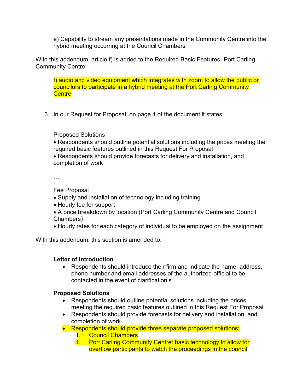e) Capability to stream any presentations made in the Community Centre into the hybrid meeting occurring at the Council Chambers

With this addendum, article f) is added to the Required Basic Features- Port Carling Community Centre:

f) audio and video equipment which integrates with zoom to allow the public or councilors to participate in a hybrid meeting at the Port Carling Community **Centre** 

3. In our Request for Proposal, on page 4 of the document it states:

Proposed Solutions

- Respondents should outline potential solutions including the prices meeting the required basic features outlined in this Request For Proposal
- Respondents should provide forecasts for delivery and installation, and completion of work

…

Fee Proposal

- Supply and installation of technology including training
- Hourly fee for support
- A price breakdown by location (Port Carling Community Centre and Council Chambers)
- Hourly rates for each category of individual to be employed on the assignment

With this addendum, this section is amended to:

### **Letter of Introduction**

Respondents should introduce their firm and indicate the name, address, phone number and email addresses of the authorized official to be contacted in the event of clarification's

### **Proposed Solutions**

- Respondents should outline potential solutions including the prices meeting the required basic features outlined in this Request For Proposal
- Respondents should provide forecasts for delivery and installation, and completion of work
- Respondents should provide three separate proposed solutions:
	- I. Council Chambers
	- II. Port Carling Community Centre: basic technology to allow for overflow participants to watch the proceedings in the council